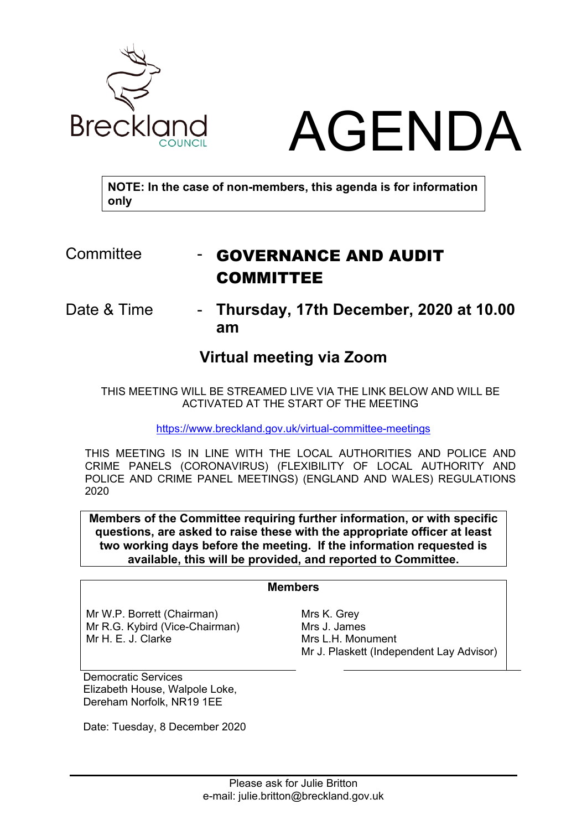



**NOTE: In the case of non-members, this agenda is for information only**

## Committee **- GOVERNANCE AND AUDIT** COMMITTEE

Date & Time - **Thursday, 17th December, 2020 at 10.00 am**

## **Virtual meeting via Zoom**

THIS MEETING WILL BE STREAMED LIVE VIA THE LINK BELOW AND WILL BE ACTIVATED AT THE START OF THE MEETING

<https://www.breckland.gov.uk/virtual-committee-meetings>

THIS MEETING IS IN LINE WITH THE LOCAL AUTHORITIES AND POLICE AND CRIME PANELS (CORONAVIRUS) (FLEXIBILITY OF LOCAL AUTHORITY AND POLICE AND CRIME PANEL MEETINGS) (ENGLAND AND WALES) REGULATIONS 2020

**Members of the Committee requiring further information, or with specific questions, are asked to raise these with the appropriate officer at least two working days before the meeting. If the information requested is available, this will be provided, and reported to Committee.**

## **Members**

Mr W.P. Borrett (Chairman) Mr R.G. Kybird (Vice-Chairman) Mr H. E. J. Clarke

Mrs K. Grey Mrs J. James Mrs L.H. Monument Mr J. Plaskett (Independent Lay Advisor)

Democratic Services Elizabeth House, Walpole Loke, Dereham Norfolk, NR19 1EE

Date: Tuesday, 8 December 2020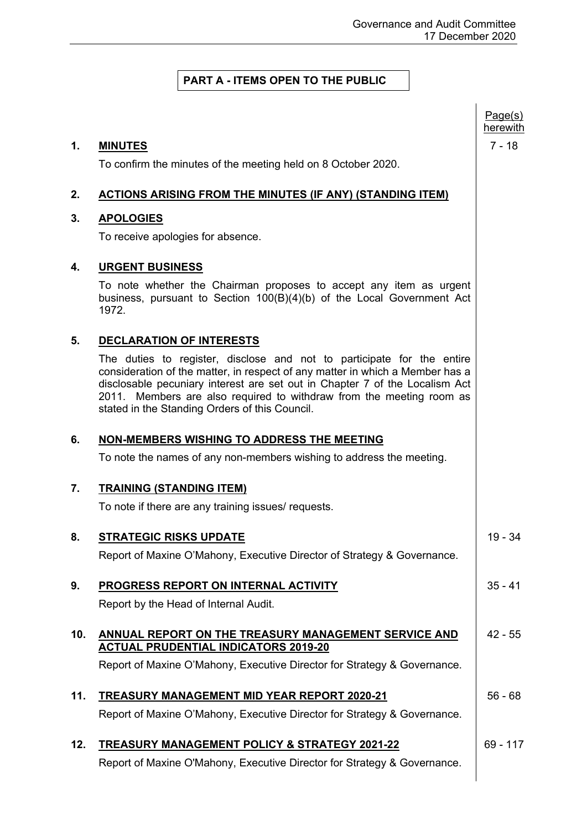## **PART A - ITEMS OPEN TO THE PUBLIC**

|     |                                                                                                                                                                                                                                                                                                                                                                  | Page(s)<br>herewith |
|-----|------------------------------------------------------------------------------------------------------------------------------------------------------------------------------------------------------------------------------------------------------------------------------------------------------------------------------------------------------------------|---------------------|
| 1.  | <b>MINUTES</b>                                                                                                                                                                                                                                                                                                                                                   | $7 - 18$            |
|     | To confirm the minutes of the meeting held on 8 October 2020.                                                                                                                                                                                                                                                                                                    |                     |
| 2.  | <b>ACTIONS ARISING FROM THE MINUTES (IF ANY) (STANDING ITEM)</b>                                                                                                                                                                                                                                                                                                 |                     |
| 3.  | <b>APOLOGIES</b>                                                                                                                                                                                                                                                                                                                                                 |                     |
|     | To receive apologies for absence.                                                                                                                                                                                                                                                                                                                                |                     |
| 4.  | <b>URGENT BUSINESS</b>                                                                                                                                                                                                                                                                                                                                           |                     |
|     | To note whether the Chairman proposes to accept any item as urgent<br>business, pursuant to Section 100(B)(4)(b) of the Local Government Act<br>1972.                                                                                                                                                                                                            |                     |
| 5.  | <b>DECLARATION OF INTERESTS</b>                                                                                                                                                                                                                                                                                                                                  |                     |
|     | The duties to register, disclose and not to participate for the entire<br>consideration of the matter, in respect of any matter in which a Member has a<br>disclosable pecuniary interest are set out in Chapter 7 of the Localism Act<br>2011. Members are also required to withdraw from the meeting room as<br>stated in the Standing Orders of this Council. |                     |
| 6.  | NON-MEMBERS WISHING TO ADDRESS THE MEETING                                                                                                                                                                                                                                                                                                                       |                     |
|     | To note the names of any non-members wishing to address the meeting.                                                                                                                                                                                                                                                                                             |                     |
| 7.  | <b>TRAINING (STANDING ITEM)</b>                                                                                                                                                                                                                                                                                                                                  |                     |
|     | To note if there are any training issues/ requests.                                                                                                                                                                                                                                                                                                              |                     |
| 8.  | <b>STRATEGIC RISKS UPDATE</b>                                                                                                                                                                                                                                                                                                                                    | $19 - 34$           |
|     | Report of Maxine O'Mahony, Executive Director of Strategy & Governance.                                                                                                                                                                                                                                                                                          |                     |
| 9.  | PROGRESS REPORT ON INTERNAL ACTIVITY                                                                                                                                                                                                                                                                                                                             | $35 - 41$           |
|     | Report by the Head of Internal Audit.                                                                                                                                                                                                                                                                                                                            |                     |
| 10. | ANNUAL REPORT ON THE TREASURY MANAGEMENT SERVICE AND<br><b>ACTUAL PRUDENTIAL INDICATORS 2019-20</b>                                                                                                                                                                                                                                                              | $42 - 55$           |
|     | Report of Maxine O'Mahony, Executive Director for Strategy & Governance.                                                                                                                                                                                                                                                                                         |                     |
| 11. | <b>TREASURY MANAGEMENT MID YEAR REPORT 2020-21</b>                                                                                                                                                                                                                                                                                                               | $56 - 68$           |
|     | Report of Maxine O'Mahony, Executive Director for Strategy & Governance.                                                                                                                                                                                                                                                                                         |                     |
| 12. | <b>TREASURY MANAGEMENT POLICY &amp; STRATEGY 2021-22</b>                                                                                                                                                                                                                                                                                                         | $69 - 117$          |
|     | Report of Maxine O'Mahony, Executive Director for Strategy & Governance.                                                                                                                                                                                                                                                                                         |                     |